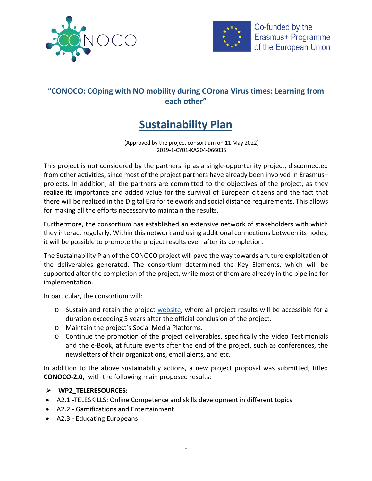



## **"CONOCO: COping with NO mobility during COrona Virus times: Learning from each other"**

# **Sustainability Plan**

(Approved by the project consortium on 11 May 2022) 2019-1-CY01-KA204-066035

This project is not considered by the partnership as a single-opportunity project, disconnected from other activities, since most of the project partners have already been involved in Erasmus+ projects. In addition, all the partners are committed to the objectives of the project, as they realize its importance and added value for the survival of European citizens and the fact that there will be realized in the Digital Era for telework and social distance requirements. This allows for making all the efforts necessary to maintain the results.

Furthermore, the consortium has established an extensive network of stakeholders with which they interact regularly. Within this network and using additional connections between its nodes, it will be possible to promote the project results even after its completion.

The Sustainability Plan of the CONOCO project will pave the way towards a future exploitation of the deliverables generated. The consortium determined the Key Elements, which will be supported after the completion of the project, while most of them are already in the pipeline for implementation.

In particular, the consortium will:

- o Sustain and retain the project [website,](https://co-no-co.eu/) where all project results will be accessible for a duration exceeding 5 years after the official conclusion of the project.
- o Maintain the project's Social Media Platforms.
- o Continue the promotion of the project deliverables, specifically the Video Testimonials and the e-Book, at future events after the end of the project, such as conferences, the newsletters of their organizations, email alerts, and etc.

In addition to the above sustainability actions, a new project proposal was submitted, titled **CONOCO-2.0,** with the following main proposed results:

#### **WP2\_TELERESOURCES:**

- A2.1 -TELESKILLS: Online Competence and skills development in different topics
- A2.2 Gamifications and Entertainment
- A2.3 Educating Europeans